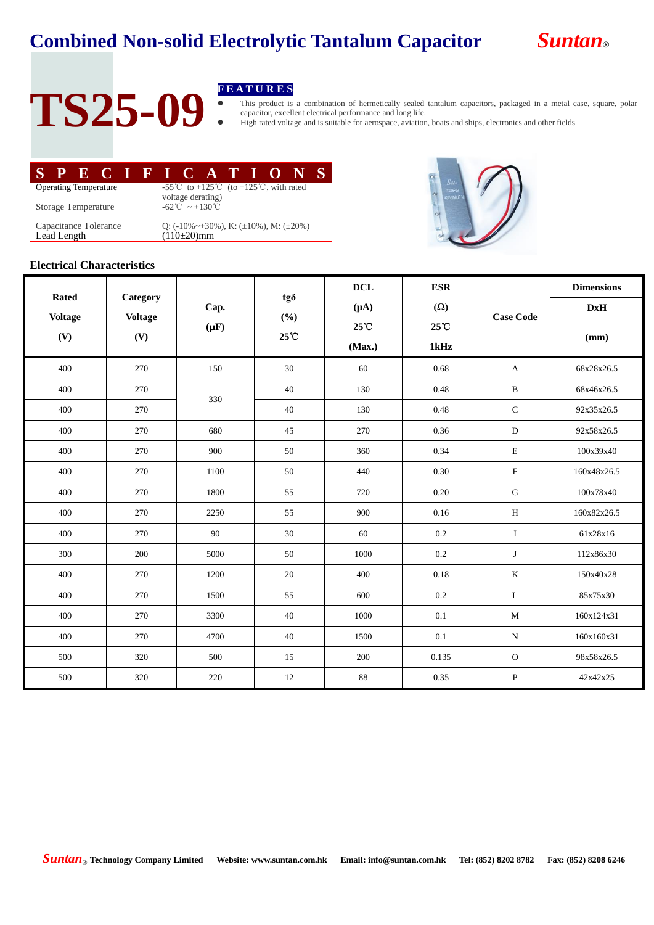

## TS25-09 **FEATURES**

 This product is a combination of hermetically sealed tantalum capacitors, packaged in a metal case, square, polar capacitor, excellent electrical performance and long life.

High rated voltage and is suitable for aerospace, aviation, boats and ships, electronics and other fields

| SPECTED CATEONS                      |                                                                                                    |  |  |                                                                                  |  |  |  |  |  |  |  |
|--------------------------------------|----------------------------------------------------------------------------------------------------|--|--|----------------------------------------------------------------------------------|--|--|--|--|--|--|--|
| <b>Operating Temperature</b>         | -55 <sup>°</sup> C to +125 <sup>°</sup> C (to +125 <sup>°</sup> C, with rated<br>voltage derating) |  |  |                                                                                  |  |  |  |  |  |  |  |
| <b>Storage Temperature</b>           |                                                                                                    |  |  | $-62^{\circ}\text{C} \sim +130^{\circ}\text{C}$                                  |  |  |  |  |  |  |  |
| Capacitance Tolerance<br>Lead Length |                                                                                                    |  |  | Q: $(-10\% \sim +30\%)$ , K: $(\pm 10\%)$ , M: $(\pm 20\%)$<br>$(110 \pm 20)$ mm |  |  |  |  |  |  |  |
|                                      |                                                                                                    |  |  |                                                                                  |  |  |  |  |  |  |  |



#### **Electrical Characteristics**

| <b>Rated</b><br><b>Voltage</b><br>(V) | Category<br><b>Voltage</b><br>(V) |                   |                   | <b>DCL</b> | <b>ESR</b>     | <b>Case Code</b> | <b>Dimensions</b> |
|---------------------------------------|-----------------------------------|-------------------|-------------------|------------|----------------|------------------|-------------------|
|                                       |                                   | Cap.<br>$(\mu F)$ | tgð<br>(%)<br>25℃ | $(\mu A)$  | $(\Omega)$     |                  | <b>DxH</b>        |
|                                       |                                   |                   |                   | 25°C       | $25^{\circ}$ C |                  | (mm)              |
|                                       |                                   |                   |                   | (Max.)     | 1kHz           |                  |                   |
| 400                                   | 270                               | 150               | 30                | 60         | 0.68           | $\mathbf{A}$     | 68x28x26.5        |
| 400                                   | 270                               | 330               | 40                | 130        | 0.48           | $\, {\bf B}$     | 68x46x26.5        |
| 400                                   | 270                               |                   | 40                | 130        | 0.48           | $\mathsf{C}$     | 92x35x26.5        |
| 400                                   | 270                               | 680               | 45                | 270        | 0.36           | ${\bf D}$        | 92x58x26.5        |
| 400                                   | 270                               | 900               | 50                | 360        | 0.34           | ${\bf E}$        | 100x39x40         |
| 400                                   | 270                               | 1100              | 50                | 440        | 0.30           | $\mathbf F$      | 160x48x26.5       |
| 400                                   | 270                               | 1800              | 55                | 720        | 0.20           | ${\bf G}$        | 100x78x40         |
| 400                                   | 270                               | 2250              | 55                | 900        | $0.16\,$       | $\, {\rm H}$     | 160x82x26.5       |
| 400                                   | 270                               | 90                | 30                | 60         | 0.2            | $\rm I$          | 61x28x16          |
| 300                                   | 200                               | 5000              | 50                | 1000       | $0.2\,$        | $\bf J$          | 112x86x30         |
| 400                                   | 270                               | 1200              | 20                | 400        | 0.18           | $\bf K$          | 150x40x28         |
| 400                                   | 270                               | 1500              | 55                | 600        | $0.2\,$        | $\mathbf L$      | 85x75x30          |
| 400                                   | 270                               | 3300              | 40                | 1000       | 0.1            | M                | 160x124x31        |
| 400                                   | 270                               | 4700              | 40                | 1500       | 0.1            | ${\bf N}$        | 160x160x31        |
| 500                                   | 320                               | 500               | 15                | 200        | 0.135          | $\mathbf{O}$     | 98x58x26.5        |
| 500                                   | 320                               | 220               | 12                | 88         | 0.35           | ${\bf P}$        | 42x42x25          |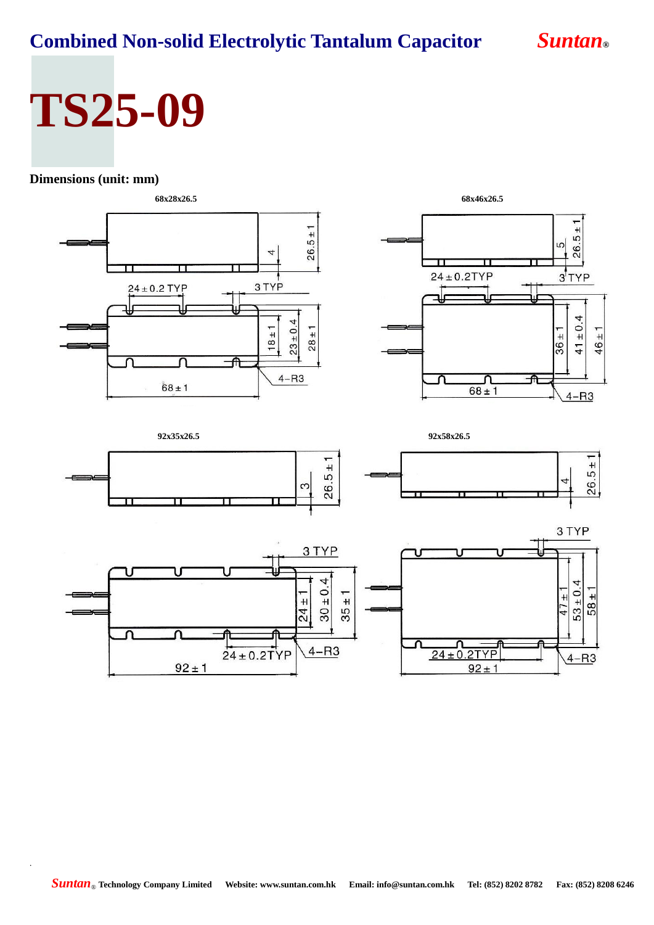## **TS25-09**

### **Dimensions (unit: mm)**

.





 $24 \pm 0.$ 

2TYP

 $92 \pm 1$ 

 $4 - R3$ 

**92x35x26.5 92x58x26.5**  $26.5 \pm 1$  $26.5 \pm 7$  $\infty$ π 3 TYP 3 TYP  $30 \pm 0.4$ 4  $53 \pm 0.$  $47 \pm 1$  $58 \pm 1$  $35 \pm 1$  $24 \pm 7$ 

 $4 - R3$ 

 $24 \pm 0.2$ TYP

 $92 \pm 1$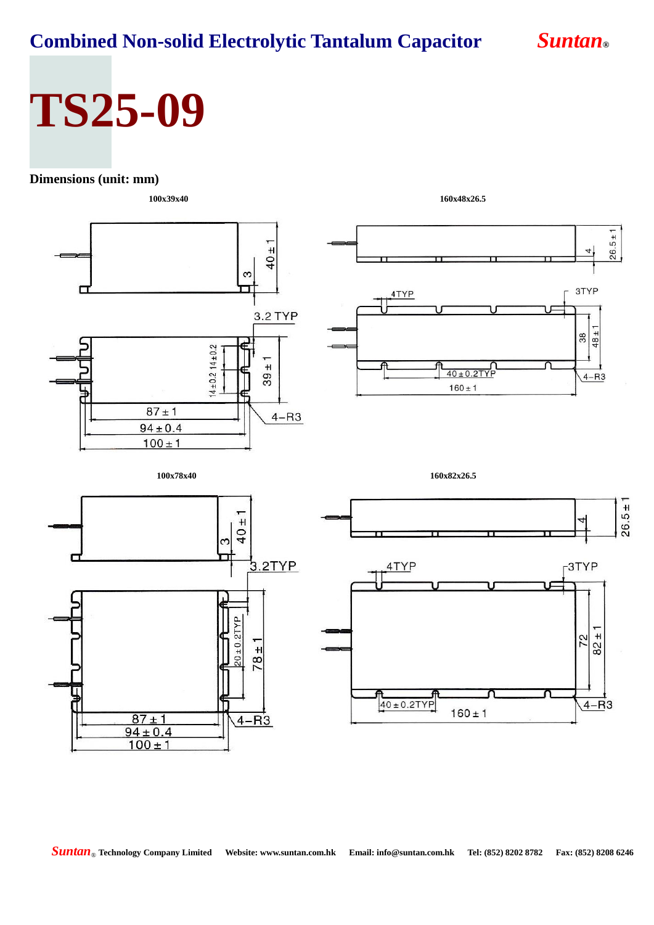# **TS25-09**

#### **Dimensions (unit: mm)**



*Suntan*® **Technology Company Limited Website: www.suntan.com.hk Email: info@suntan.com.hk Tel: (852) 8202 8782 Fax: (852) 8208 6246**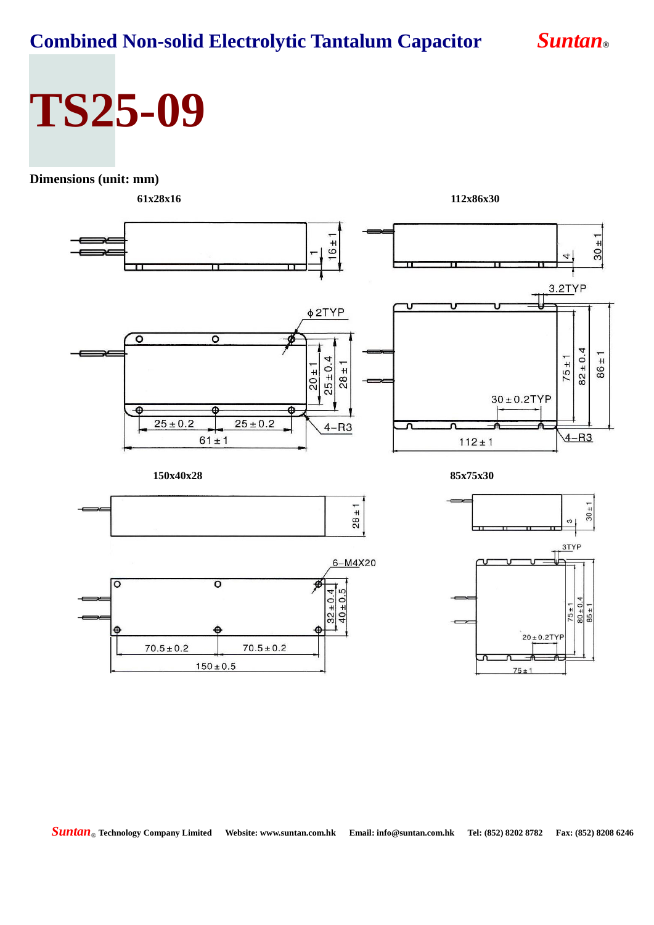## **TS25-09**

### **Dimensions (unit: mm)**